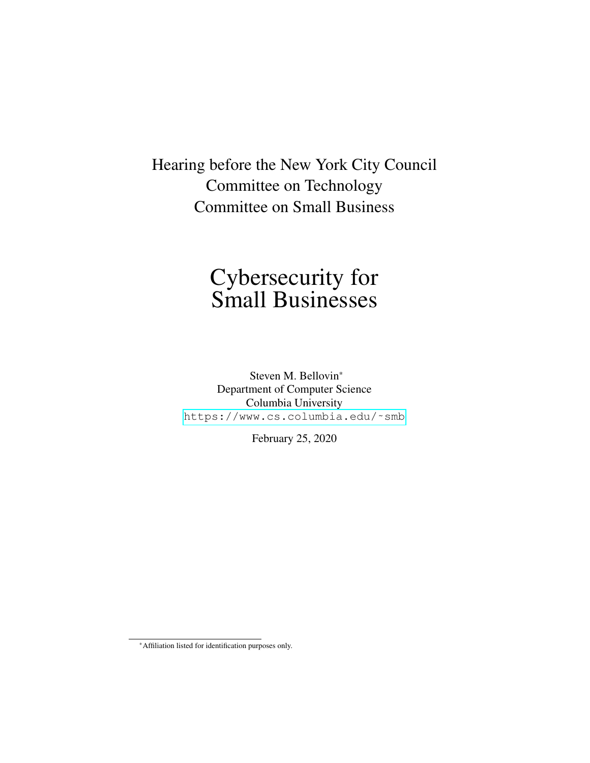Hearing before the New York City Council Committee on Technology Committee on Small Business

# Cybersecurity for Small Businesses

Steven M. Bellovin\* Department of Computer Science Columbia University https://www.cs.columbia.edu/~smb

February 25, 2020

<sup>\*</sup>Affiliation listed for identification purposes only.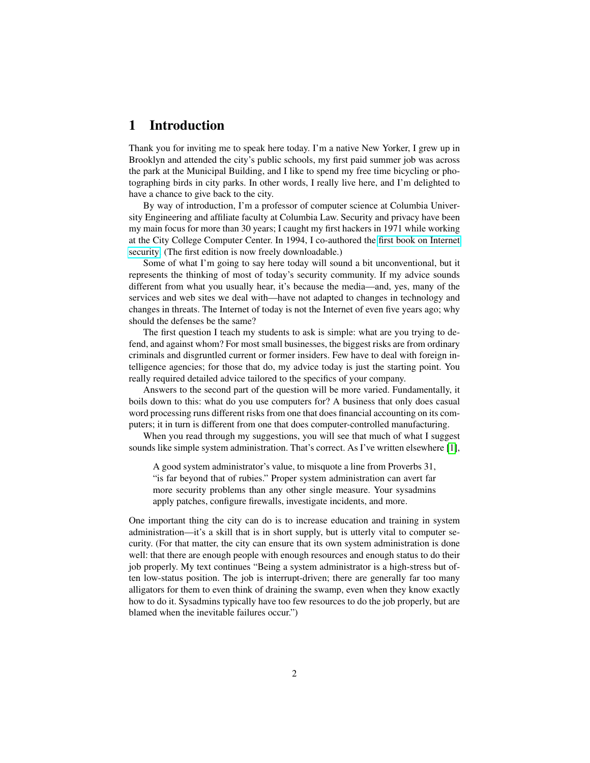# 1 Introduction

Thank you for inviting me to speak here today. I'm a native New Yorker, I grew up in Brooklyn and attended the city's public schools, my first paid summer job was across the park at the Municipal Building, and I like to spend my free time bicycling or photographing birds in city parks. In other words, I really live here, and I'm delighted to have a chance to give back to the city.

By way of introduction, I'm a professor of computer science at Columbia University Engineering and affiliate faculty at Columbia Law. Security and privacy have been my main focus for more than 30 years; I caught my first hackers in 1971 while working at the City College Computer Center. In 1994, I co-authored the [first book on Internet](http://www.wilyhacker.com/1e) [security.](http://www.wilyhacker.com/1e) (The first edition is now freely downloadable.)

Some of what I'm going to say here today will sound a bit unconventional, but it represents the thinking of most of today's security community. If my advice sounds different from what you usually hear, it's because the media—and, yes, many of the services and web sites we deal with—have not adapted to changes in technology and changes in threats. The Internet of today is not the Internet of even five years ago; why should the defenses be the same?

The first question I teach my students to ask is simple: what are you trying to defend, and against whom? For most small businesses, the biggest risks are from ordinary criminals and disgruntled current or former insiders. Few have to deal with foreign intelligence agencies; for those that do, my advice today is just the starting point. You really required detailed advice tailored to the specifics of your company.

Answers to the second part of the question will be more varied. Fundamentally, it boils down to this: what do you use computers for? A business that only does casual word processing runs different risks from one that does financial accounting on its computers; it in turn is different from one that does computer-controlled manufacturing.

When you read through my suggestions, you will see that much of what I suggest sounds like simple system administration. That's correct. As I've written elsewhere [\[1\]](#page-8-0),

A good system administrator's value, to misquote a line from Proverbs 31, "is far beyond that of rubies." Proper system administration can avert far more security problems than any other single measure. Your sysadmins apply patches, configure firewalls, investigate incidents, and more.

One important thing the city can do is to increase education and training in system administration—it's a skill that is in short supply, but is utterly vital to computer security. (For that matter, the city can ensure that its own system administration is done well: that there are enough people with enough resources and enough status to do their job properly. My text continues "Being a system administrator is a high-stress but often low-status position. The job is interrupt-driven; there are generally far too many alligators for them to even think of draining the swamp, even when they know exactly how to do it. Sysadmins typically have too few resources to do the job properly, but are blamed when the inevitable failures occur.")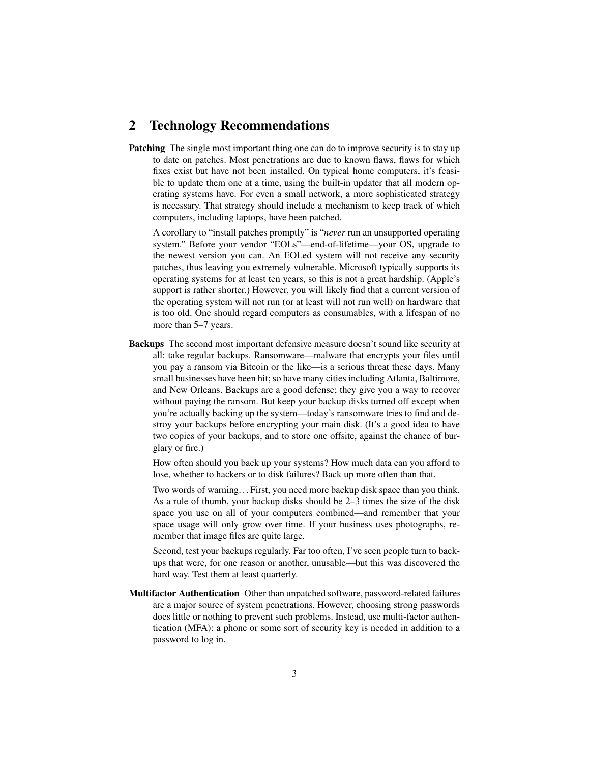### <span id="page-2-0"></span>2 Technology Recommendations

**Patching** The single most important thing one can do to improve security is to stay up to date on patches. Most penetrations are due to known flaws, flaws for which fixes exist but have not been installed. On typical home computers, it's feasible to update them one at a time, using the built-in updater that all modern operating systems have. For even a small network, a more sophisticated strategy is necessary. That strategy should include a mechanism to keep track of which computers, including laptops, have been patched.

A corollary to "install patches promptly" is "*never* run an unsupported operating system." Before your vendor "EOLs"—end-of-lifetime—your OS, upgrade to the newest version you can. An EOLed system will not receive any security patches, thus leaving you extremely vulnerable. Microsoft typically supports its operating systems for at least ten years, so this is not a great hardship. (Apple's support is rather shorter.) However, you will likely find that a current version of the operating system will not run (or at least will not run well) on hardware that is too old. One should regard computers as consumables, with a lifespan of no more than 5–7 years.

Backups The second most important defensive measure doesn't sound like security at all: take regular backups. Ransomware—malware that encrypts your files until you pay a ransom via Bitcoin or the like—is a serious threat these days. Many small businesses have been hit; so have many cities including Atlanta, Baltimore, and New Orleans. Backups are a good defense; they give you a way to recover without paying the ransom. But keep your backup disks turned off except when you're actually backing up the system—today's ransomware tries to find and destroy your backups before encrypting your main disk. (It's a good idea to have two copies of your backups, and to store one offsite, against the chance of burglary or fire.)

How often should you back up your systems? How much data can you afford to lose, whether to hackers or to disk failures? Back up more often than that.

Two words of warning. . . First, you need more backup disk space than you think. As a rule of thumb, your backup disks should be 2–3 times the size of the disk space you use on all of your computers combined—and remember that your space usage will only grow over time. If your business uses photographs, remember that image files are quite large.

Second, test your backups regularly. Far too often, I've seen people turn to backups that were, for one reason or another, unusable—but this was discovered the hard way. Test them at least quarterly.

Multifactor Authentication Other than unpatched software, password-related failures are a major source of system penetrations. However, choosing strong passwords does little or nothing to prevent such problems. Instead, use multi-factor authentication (MFA): a phone or some sort of security key is needed in addition to a password to log in.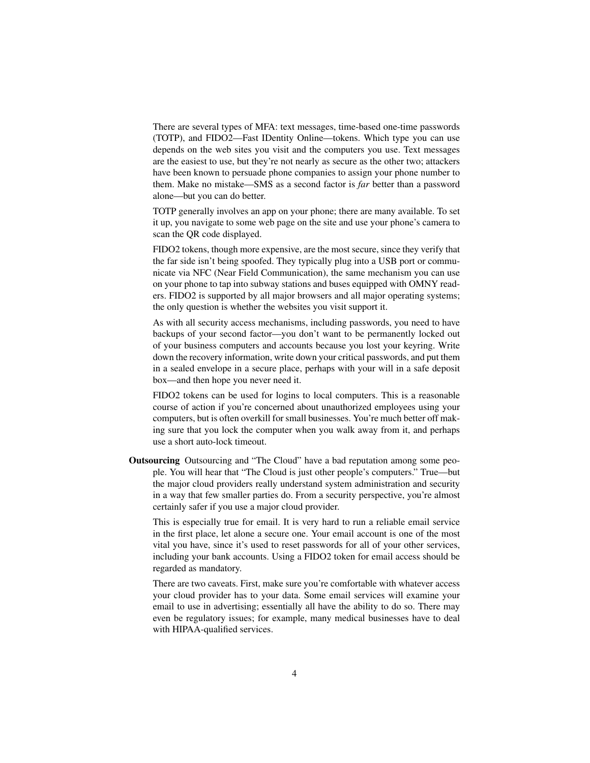There are several types of MFA: text messages, time-based one-time passwords (TOTP), and FIDO2—Fast IDentity Online—tokens. Which type you can use depends on the web sites you visit and the computers you use. Text messages are the easiest to use, but they're not nearly as secure as the other two; attackers have been known to persuade phone companies to assign your phone number to them. Make no mistake—SMS as a second factor is *far* better than a password alone—but you can do better.

TOTP generally involves an app on your phone; there are many available. To set it up, you navigate to some web page on the site and use your phone's camera to scan the QR code displayed.

FIDO2 tokens, though more expensive, are the most secure, since they verify that the far side isn't being spoofed. They typically plug into a USB port or communicate via NFC (Near Field Communication), the same mechanism you can use on your phone to tap into subway stations and buses equipped with OMNY readers. FIDO2 is supported by all major browsers and all major operating systems; the only question is whether the websites you visit support it.

As with all security access mechanisms, including passwords, you need to have backups of your second factor—you don't want to be permanently locked out of your business computers and accounts because you lost your keyring. Write down the recovery information, write down your critical passwords, and put them in a sealed envelope in a secure place, perhaps with your will in a safe deposit box—and then hope you never need it.

FIDO2 tokens can be used for logins to local computers. This is a reasonable course of action if you're concerned about unauthorized employees using your computers, but is often overkill for small businesses. You're much better off making sure that you lock the computer when you walk away from it, and perhaps use a short auto-lock timeout.

Outsourcing Outsourcing and "The Cloud" have a bad reputation among some people. You will hear that "The Cloud is just other people's computers." True—but the major cloud providers really understand system administration and security in a way that few smaller parties do. From a security perspective, you're almost certainly safer if you use a major cloud provider.

This is especially true for email. It is very hard to run a reliable email service in the first place, let alone a secure one. Your email account is one of the most vital you have, since it's used to reset passwords for all of your other services, including your bank accounts. Using a FIDO2 token for email access should be regarded as mandatory.

There are two caveats. First, make sure you're comfortable with whatever access your cloud provider has to your data. Some email services will examine your email to use in advertising; essentially all have the ability to do so. There may even be regulatory issues; for example, many medical businesses have to deal with HIPAA-qualified services.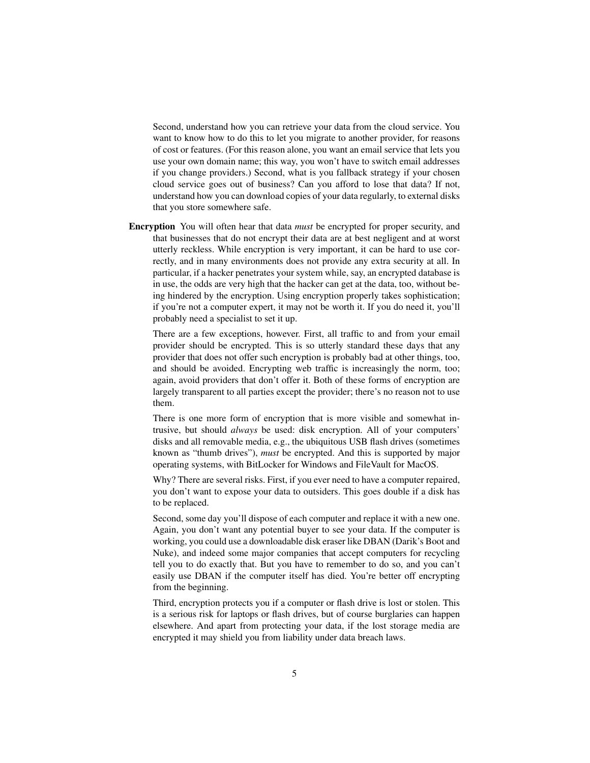Second, understand how you can retrieve your data from the cloud service. You want to know how to do this to let you migrate to another provider, for reasons of cost or features. (For this reason alone, you want an email service that lets you use your own domain name; this way, you won't have to switch email addresses if you change providers.) Second, what is you fallback strategy if your chosen cloud service goes out of business? Can you afford to lose that data? If not, understand how you can download copies of your data regularly, to external disks that you store somewhere safe.

Encryption You will often hear that data *must* be encrypted for proper security, and that businesses that do not encrypt their data are at best negligent and at worst utterly reckless. While encryption is very important, it can be hard to use correctly, and in many environments does not provide any extra security at all. In particular, if a hacker penetrates your system while, say, an encrypted database is in use, the odds are very high that the hacker can get at the data, too, without being hindered by the encryption. Using encryption properly takes sophistication; if you're not a computer expert, it may not be worth it. If you do need it, you'll probably need a specialist to set it up.

There are a few exceptions, however. First, all traffic to and from your email provider should be encrypted. This is so utterly standard these days that any provider that does not offer such encryption is probably bad at other things, too, and should be avoided. Encrypting web traffic is increasingly the norm, too; again, avoid providers that don't offer it. Both of these forms of encryption are largely transparent to all parties except the provider; there's no reason not to use them.

There is one more form of encryption that is more visible and somewhat intrusive, but should *always* be used: disk encryption. All of your computers' disks and all removable media, e.g., the ubiquitous USB flash drives (sometimes known as "thumb drives"), *must* be encrypted. And this is supported by major operating systems, with BitLocker for Windows and FileVault for MacOS.

Why? There are several risks. First, if you ever need to have a computer repaired, you don't want to expose your data to outsiders. This goes double if a disk has to be replaced.

Second, some day you'll dispose of each computer and replace it with a new one. Again, you don't want any potential buyer to see your data. If the computer is working, you could use a downloadable disk eraser like DBAN (Darik's Boot and Nuke), and indeed some major companies that accept computers for recycling tell you to do exactly that. But you have to remember to do so, and you can't easily use DBAN if the computer itself has died. You're better off encrypting from the beginning.

Third, encryption protects you if a computer or flash drive is lost or stolen. This is a serious risk for laptops or flash drives, but of course burglaries can happen elsewhere. And apart from protecting your data, if the lost storage media are encrypted it may shield you from liability under data breach laws.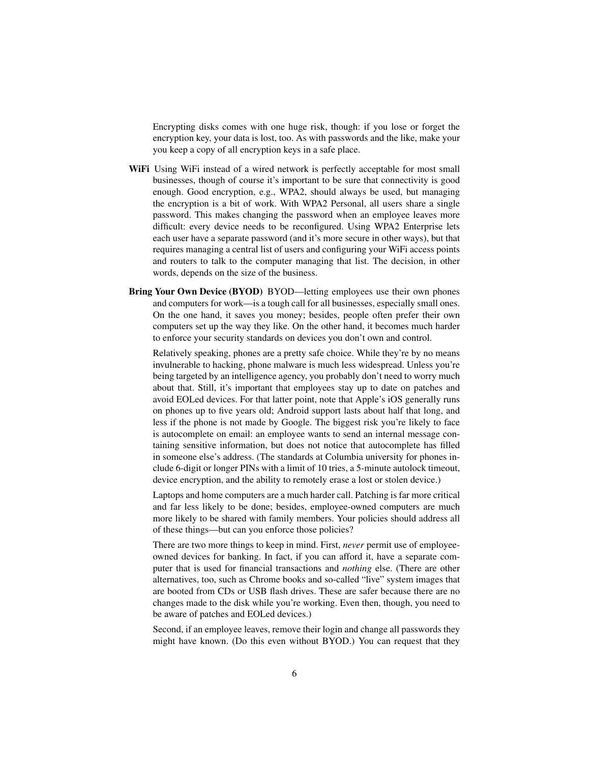Encrypting disks comes with one huge risk, though: if you lose or forget the encryption key, your data is lost, too. As with passwords and the like, make your you keep a copy of all encryption keys in a safe place.

- WiFi Using WiFi instead of a wired network is perfectly acceptable for most small businesses, though of course it's important to be sure that connectivity is good enough. Good encryption, e.g., WPA2, should always be used, but managing the encryption is a bit of work. With WPA2 Personal, all users share a single password. This makes changing the password when an employee leaves more difficult: every device needs to be reconfigured. Using WPA2 Enterprise lets each user have a separate password (and it's more secure in other ways), but that requires managing a central list of users and configuring your WiFi access points and routers to talk to the computer managing that list. The decision, in other words, depends on the size of the business.
- Bring Your Own Device (BYOD) BYOD—letting employees use their own phones and computers for work—is a tough call for all businesses, especially small ones. On the one hand, it saves you money; besides, people often prefer their own computers set up the way they like. On the other hand, it becomes much harder to enforce your security standards on devices you don't own and control.

Relatively speaking, phones are a pretty safe choice. While they're by no means invulnerable to hacking, phone malware is much less widespread. Unless you're being targeted by an intelligence agency, you probably don't need to worry much about that. Still, it's important that employees stay up to date on patches and avoid EOLed devices. For that latter point, note that Apple's iOS generally runs on phones up to five years old; Android support lasts about half that long, and less if the phone is not made by Google. The biggest risk you're likely to face is autocomplete on email: an employee wants to send an internal message containing sensitive information, but does not notice that autocomplete has filled in someone else's address. (The standards at Columbia university for phones include 6-digit or longer PINs with a limit of 10 tries, a 5-minute autolock timeout, device encryption, and the ability to remotely erase a lost or stolen device.)

Laptops and home computers are a much harder call. Patching is far more critical and far less likely to be done; besides, employee-owned computers are much more likely to be shared with family members. Your policies should address all of these things—but can you enforce those policies?

There are two more things to keep in mind. First, *never* permit use of employeeowned devices for banking. In fact, if you can afford it, have a separate computer that is used for financial transactions and *nothing* else. (There are other alternatives, too, such as Chrome books and so-called "live" system images that are booted from CDs or USB flash drives. These are safer because there are no changes made to the disk while you're working. Even then, though, you need to be aware of patches and EOLed devices.)

Second, if an employee leaves, remove their login and change all passwords they might have known. (Do this even without BYOD.) You can request that they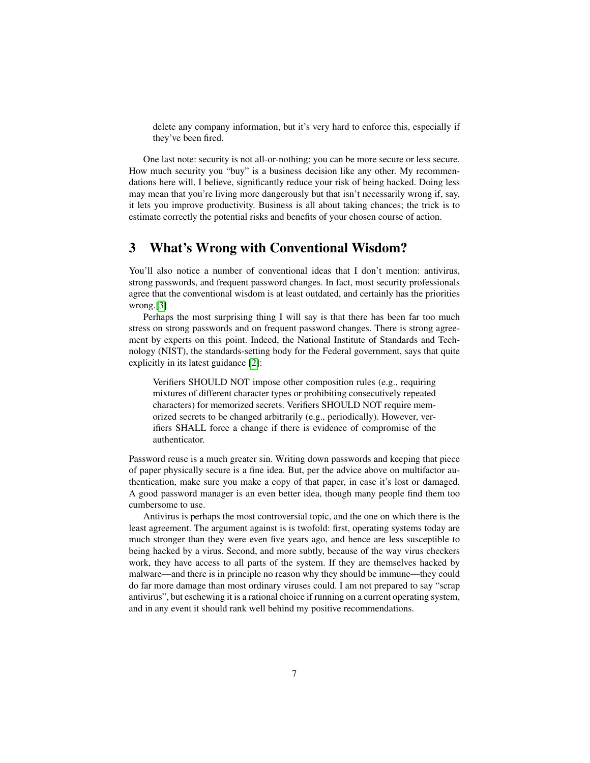delete any company information, but it's very hard to enforce this, especially if they've been fired.

One last note: security is not all-or-nothing; you can be more secure or less secure. How much security you "buy" is a business decision like any other. My recommendations here will, I believe, significantly reduce your risk of being hacked. Doing less may mean that you're living more dangerously but that isn't necessarily wrong if, say, it lets you improve productivity. Business is all about taking chances; the trick is to estimate correctly the potential risks and benefits of your chosen course of action.

#### 3 What's Wrong with Conventional Wisdom?

You'll also notice a number of conventional ideas that I don't mention: antivirus, strong passwords, and frequent password changes. In fact, most security professionals agree that the conventional wisdom is at least outdated, and certainly has the priorities wrong.[\[3\]](#page-8-1)

Perhaps the most surprising thing I will say is that there has been far too much stress on strong passwords and on frequent password changes. There is strong agreement by experts on this point. Indeed, the National Institute of Standards and Technology (NIST), the standards-setting body for the Federal government, says that quite explicitly in its latest guidance [\[2\]](#page-8-2):

Verifiers SHOULD NOT impose other composition rules (e.g., requiring mixtures of different character types or prohibiting consecutively repeated characters) for memorized secrets. Verifiers SHOULD NOT require memorized secrets to be changed arbitrarily (e.g., periodically). However, verifiers SHALL force a change if there is evidence of compromise of the authenticator.

Password reuse is a much greater sin. Writing down passwords and keeping that piece of paper physically secure is a fine idea. But, per the advice above on multifactor authentication, make sure you make a copy of that paper, in case it's lost or damaged. A good password manager is an even better idea, though many people find them too cumbersome to use.

Antivirus is perhaps the most controversial topic, and the one on which there is the least agreement. The argument against is is twofold: first, operating systems today are much stronger than they were even five years ago, and hence are less susceptible to being hacked by a virus. Second, and more subtly, because of the way virus checkers work, they have access to all parts of the system. If they are themselves hacked by malware—and there is in principle no reason why they should be immune—they could do far more damage than most ordinary viruses could. I am not prepared to say "scrap antivirus", but eschewing it is a rational choice if running on a current operating system, and in any event it should rank well behind my positive recommendations.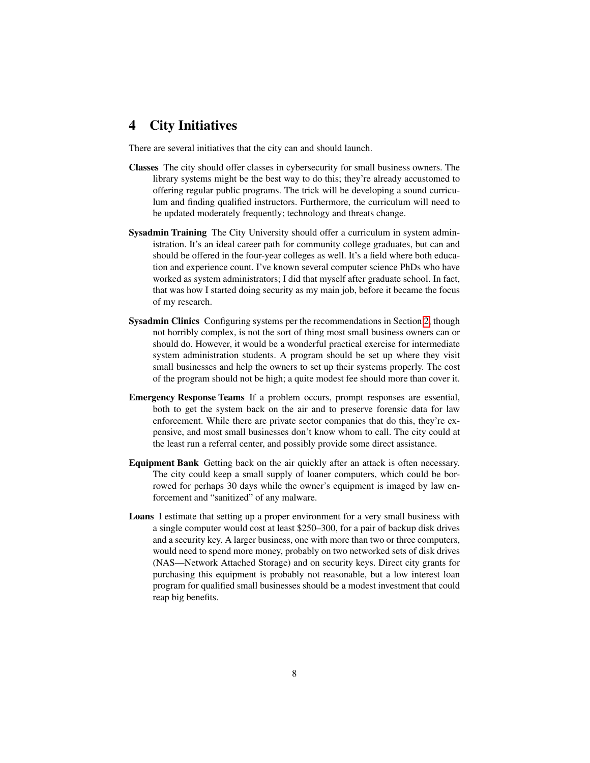# 4 City Initiatives

There are several initiatives that the city can and should launch.

- Classes The city should offer classes in cybersecurity for small business owners. The library systems might be the best way to do this; they're already accustomed to offering regular public programs. The trick will be developing a sound curriculum and finding qualified instructors. Furthermore, the curriculum will need to be updated moderately frequently; technology and threats change.
- Sysadmin Training The City University should offer a curriculum in system administration. It's an ideal career path for community college graduates, but can and should be offered in the four-year colleges as well. It's a field where both education and experience count. I've known several computer science PhDs who have worked as system administrators; I did that myself after graduate school. In fact, that was how I started doing security as my main job, before it became the focus of my research.
- Sysadmin Clinics Configuring systems per the recommendations in Section [2,](#page-2-0) though not horribly complex, is not the sort of thing most small business owners can or should do. However, it would be a wonderful practical exercise for intermediate system administration students. A program should be set up where they visit small businesses and help the owners to set up their systems properly. The cost of the program should not be high; a quite modest fee should more than cover it.
- Emergency Response Teams If a problem occurs, prompt responses are essential, both to get the system back on the air and to preserve forensic data for law enforcement. While there are private sector companies that do this, they're expensive, and most small businesses don't know whom to call. The city could at the least run a referral center, and possibly provide some direct assistance.
- Equipment Bank Getting back on the air quickly after an attack is often necessary. The city could keep a small supply of loaner computers, which could be borrowed for perhaps 30 days while the owner's equipment is imaged by law enforcement and "sanitized" of any malware.
- Loans I estimate that setting up a proper environment for a very small business with a single computer would cost at least \$250–300, for a pair of backup disk drives and a security key. A larger business, one with more than two or three computers, would need to spend more money, probably on two networked sets of disk drives (NAS—Network Attached Storage) and on security keys. Direct city grants for purchasing this equipment is probably not reasonable, but a low interest loan program for qualified small businesses should be a modest investment that could reap big benefits.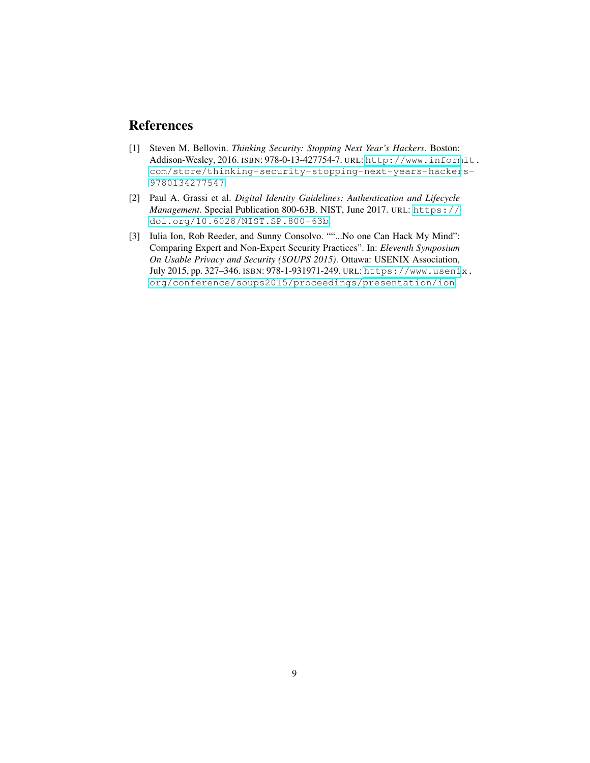# References

- <span id="page-8-0"></span>[1] Steven M. Bellovin. *Thinking Security: Stopping Next Year's Hackers*. Boston: Addison-Wesley, 2016. ISBN: 978-0-13-427754-7. URL: [http://www.inform](http://www.informit.com/store/thinking-security-stopping-next-years-hackers-9780134277547)it. [com/store/thinking-security-stopping-next-years-hacker](http://www.informit.com/store/thinking-security-stopping-next-years-hackers-9780134277547)s-[9780134277547](http://www.informit.com/store/thinking-security-stopping-next-years-hackers-9780134277547).
- <span id="page-8-2"></span>[2] Paul A. Grassi et al. *Digital Identity Guidelines: Authentication and Lifecycle Management*. Special Publication 800-63B. NIST, June 2017. URL: [https://](https://doi.org/10.6028/NIST.SP.800-63b) [doi.org/10.6028/NIST.SP.800-63b](https://doi.org/10.6028/NIST.SP.800-63b).
- <span id="page-8-1"></span>[3] Iulia Ion, Rob Reeder, and Sunny Consolvo. ""...No one Can Hack My Mind": Comparing Expert and Non-Expert Security Practices". In: *Eleventh Symposium On Usable Privacy and Security (SOUPS 2015)*. Ottawa: USENIX Association, July 2015, pp. 327–346. ISBN: 978-1-931971-249. URL: [https://www.useni](https://www.usenix.org/conference/soups2015/proceedings/presentation/ion)x. [org/conference/soups2015/proceedings/presentation/ion](https://www.usenix.org/conference/soups2015/proceedings/presentation/ion).